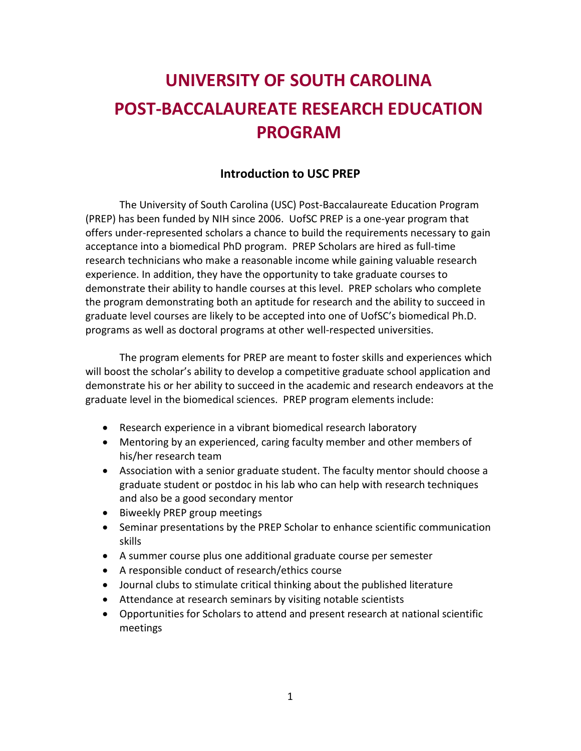# **UNIVERSITY OF SOUTH CAROLINA POST-BACCALAUREATE RESEARCH EDUCATION PROGRAM**

## **Introduction to USC PREP**

The University of South Carolina (USC) Post-Baccalaureate Education Program (PREP) has been funded by NIH since 2006. UofSC PREP is a one-year program that offers under-represented scholars a chance to build the requirements necessary to gain acceptance into a biomedical PhD program. PREP Scholars are hired as full-time research technicians who make a reasonable income while gaining valuable research experience. In addition, they have the opportunity to take graduate courses to demonstrate their ability to handle courses at this level. PREP scholars who complete the program demonstrating both an aptitude for research and the ability to succeed in graduate level courses are likely to be accepted into one of UofSC's biomedical Ph.D. programs as well as doctoral programs at other well-respected universities.

The program elements for PREP are meant to foster skills and experiences which will boost the scholar's ability to develop a competitive graduate school application and demonstrate his or her ability to succeed in the academic and research endeavors at the graduate level in the biomedical sciences. PREP program elements include:

- Research experience in a vibrant biomedical research laboratory
- Mentoring by an experienced, caring faculty member and other members of his/her research team
- Association with a senior graduate student. The faculty mentor should choose a graduate student or postdoc in his lab who can help with research techniques and also be a good secondary mentor
- Biweekly PREP group meetings
- Seminar presentations by the PREP Scholar to enhance scientific communication skills
- A summer course plus one additional graduate course per semester
- A responsible conduct of research/ethics course
- Journal clubs to stimulate critical thinking about the published literature
- Attendance at research seminars by visiting notable scientists
- Opportunities for Scholars to attend and present research at national scientific meetings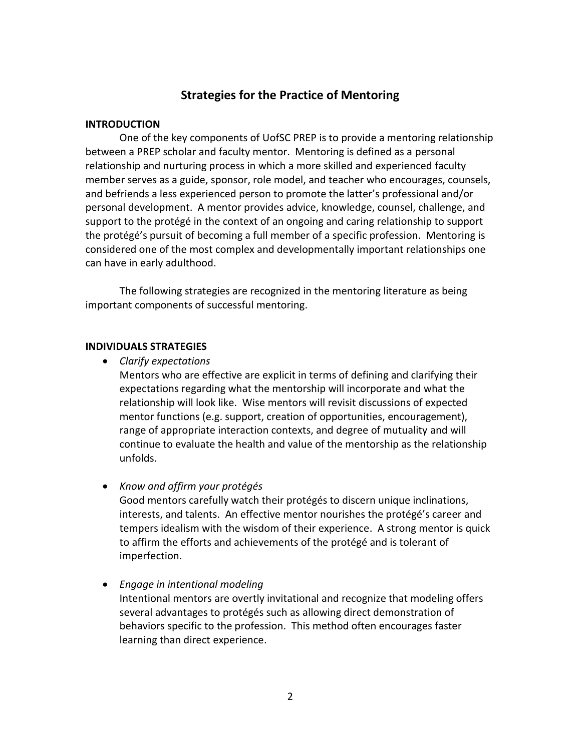## **Strategies for the Practice of Mentoring**

#### **INTRODUCTION**

One of the key components of UofSC PREP is to provide a mentoring relationship between a PREP scholar and faculty mentor. Mentoring is defined as a personal relationship and nurturing process in which a more skilled and experienced faculty member serves as a guide, sponsor, role model, and teacher who encourages, counsels, and befriends a less experienced person to promote the latter's professional and/or personal development. A mentor provides advice, knowledge, counsel, challenge, and support to the protégé in the context of an ongoing and caring relationship to support the protégé's pursuit of becoming a full member of a specific profession. Mentoring is considered one of the most complex and developmentally important relationships one can have in early adulthood.

The following strategies are recognized in the mentoring literature as being important components of successful mentoring.

#### **INDIVIDUALS STRATEGIES**

*Clarify expectations*

Mentors who are effective are explicit in terms of defining and clarifying their expectations regarding what the mentorship will incorporate and what the relationship will look like. Wise mentors will revisit discussions of expected mentor functions (e.g. support, creation of opportunities, encouragement), range of appropriate interaction contexts, and degree of mutuality and will continue to evaluate the health and value of the mentorship as the relationship unfolds.

*Know and affirm your protégés*

Good mentors carefully watch their protégés to discern unique inclinations, interests, and talents. An effective mentor nourishes the protégé's career and tempers idealism with the wisdom of their experience. A strong mentor is quick to affirm the efforts and achievements of the protégé and is tolerant of imperfection.

*Engage in intentional modeling*

Intentional mentors are overtly invitational and recognize that modeling offers several advantages to protégés such as allowing direct demonstration of behaviors specific to the profession. This method often encourages faster learning than direct experience.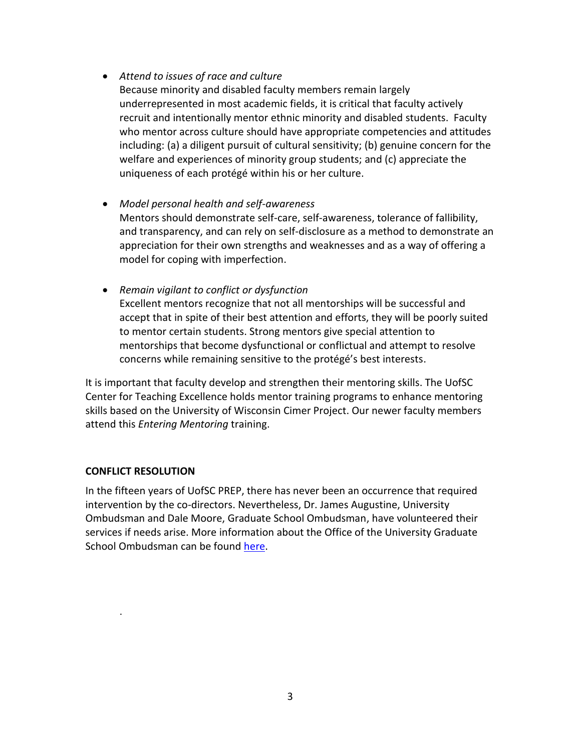*Attend to issues of race and culture*

Because minority and disabled faculty members remain largely underrepresented in most academic fields, it is critical that faculty actively recruit and intentionally mentor ethnic minority and disabled students. Faculty who mentor across culture should have appropriate competencies and attitudes including: (a) a diligent pursuit of cultural sensitivity; (b) genuine concern for the welfare and experiences of minority group students; and (c) appreciate the uniqueness of each protégé within his or her culture.

- *Model personal health and self-awareness* Mentors should demonstrate self-care, self-awareness, tolerance of fallibility, and transparency, and can rely on self-disclosure as a method to demonstrate an appreciation for their own strengths and weaknesses and as a way of offering a model for coping with imperfection.
- *Remain vigilant to conflict or dysfunction* Excellent mentors recognize that not all mentorships will be successful and accept that in spite of their best attention and efforts, they will be poorly suited to mentor certain students. Strong mentors give special attention to mentorships that become dysfunctional or conflictual and attempt to resolve concerns while remaining sensitive to the protégé's best interests.

It is important that faculty develop and strengthen their mentoring skills. The UofSC Center for Teaching Excellence holds mentor training programs to enhance mentoring skills based on the University of Wisconsin Cimer Project. Our newer faculty members attend this *Entering Mentoring* training.

## **CONFLICT RESOLUTION**

.

In the fifteen years of UofSC PREP, there has never been an occurrence that required intervention by the co-directors. Nevertheless, Dr. James Augustine, University Ombudsman and Dale Moore, Graduate School Ombudsman, have volunteered their services if needs arise. More information about the Office of the University Graduate School Ombudsman can be found [here.](https://www.sc.edu/study/colleges_schools/graduate_school/opportunities_support/ombuds/index.php)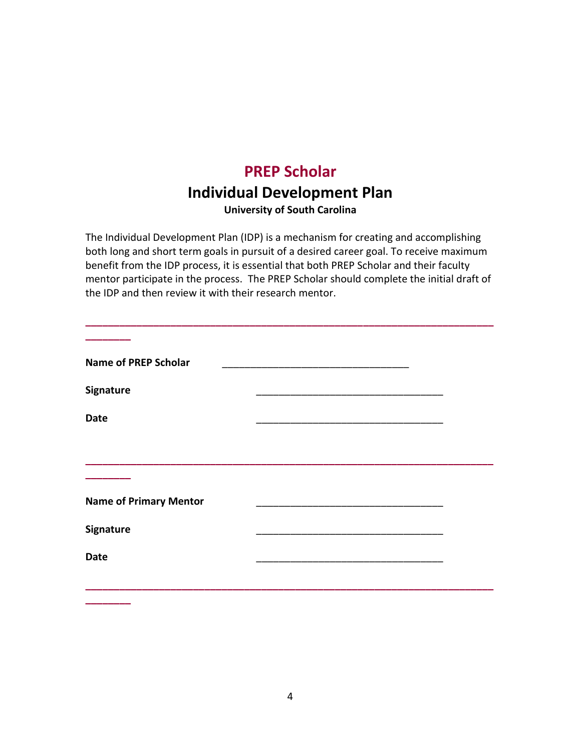# **PREP Scholar Individual Development Plan**

**University of South Carolina**

The Individual Development Plan (IDP) is a mechanism for creating and accomplishing both long and short term goals in pursuit of a desired career goal. To receive maximum benefit from the IDP process, it is essential that both PREP Scholar and their faculty mentor participate in the process. The PREP Scholar should complete the initial draft of the IDP and then review it with their research mentor.

| <b>Name of PREP Scholar</b>   |  |
|-------------------------------|--|
| Signature                     |  |
| <b>Date</b>                   |  |
|                               |  |
|                               |  |
| <b>Name of Primary Mentor</b> |  |
| Signature                     |  |
| <b>Date</b>                   |  |
|                               |  |

**\_\_\_\_\_\_\_\_**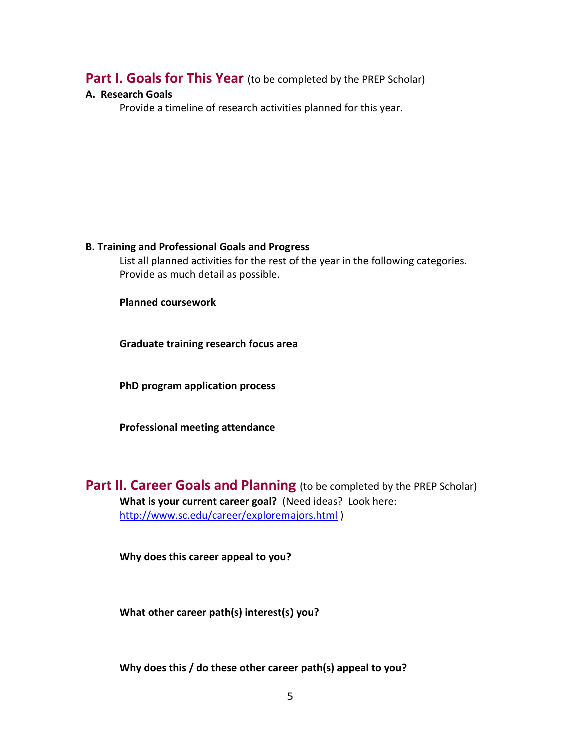## **Part I. Goals for This Year** (to be completed by the PREP Scholar)

### **A. Research Goals**

Provide a timeline of research activities planned for this year.

### **B. Training and Professional Goals and Progress**

List all planned activities for the rest of the year in the following categories. Provide as much detail as possible.

**Planned coursework**

**Graduate training research focus area**

**PhD program application process**

**Professional meeting attendance** 

**Part II. Career Goals and Planning** (to be completed by the PREP Scholar) **What is your current career goal?** (Need ideas? Look here: <http://www.sc.edu/career/exploremajors.html> )

**Why does this career appeal to you?**

**What other career path(s) interest(s) you?** 

**Why does this / do these other career path(s) appeal to you?**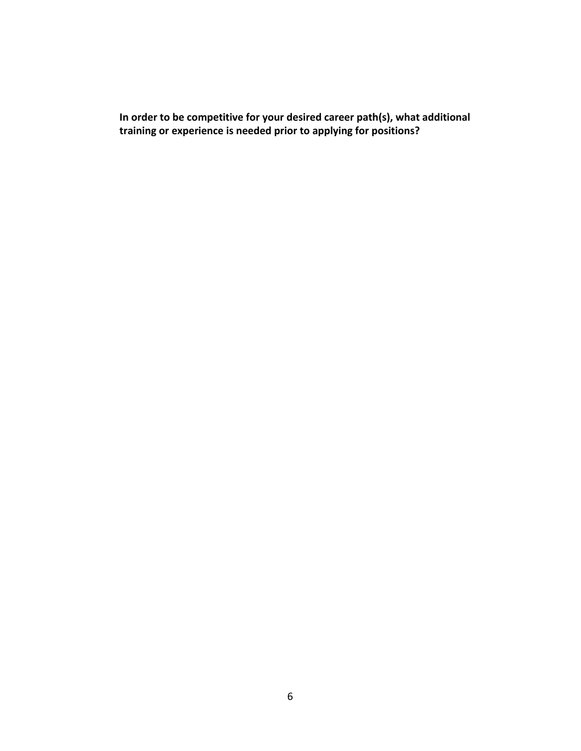**In order to be competitive for your desired career path(s), what additional training or experience is needed prior to applying for positions?**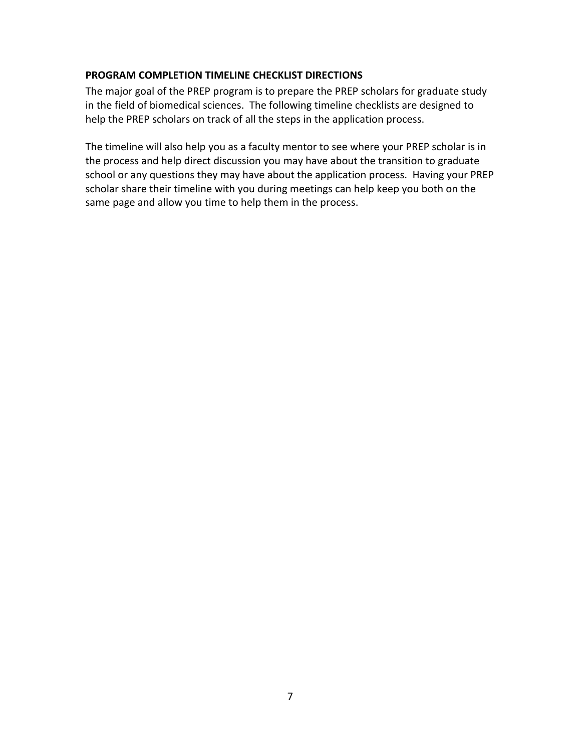## **PROGRAM COMPLETION TIMELINE CHECKLIST DIRECTIONS**

The major goal of the PREP program is to prepare the PREP scholars for graduate study in the field of biomedical sciences. The following timeline checklists are designed to help the PREP scholars on track of all the steps in the application process.

The timeline will also help you as a faculty mentor to see where your PREP scholar is in the process and help direct discussion you may have about the transition to graduate school or any questions they may have about the application process. Having your PREP scholar share their timeline with you during meetings can help keep you both on the same page and allow you time to help them in the process.